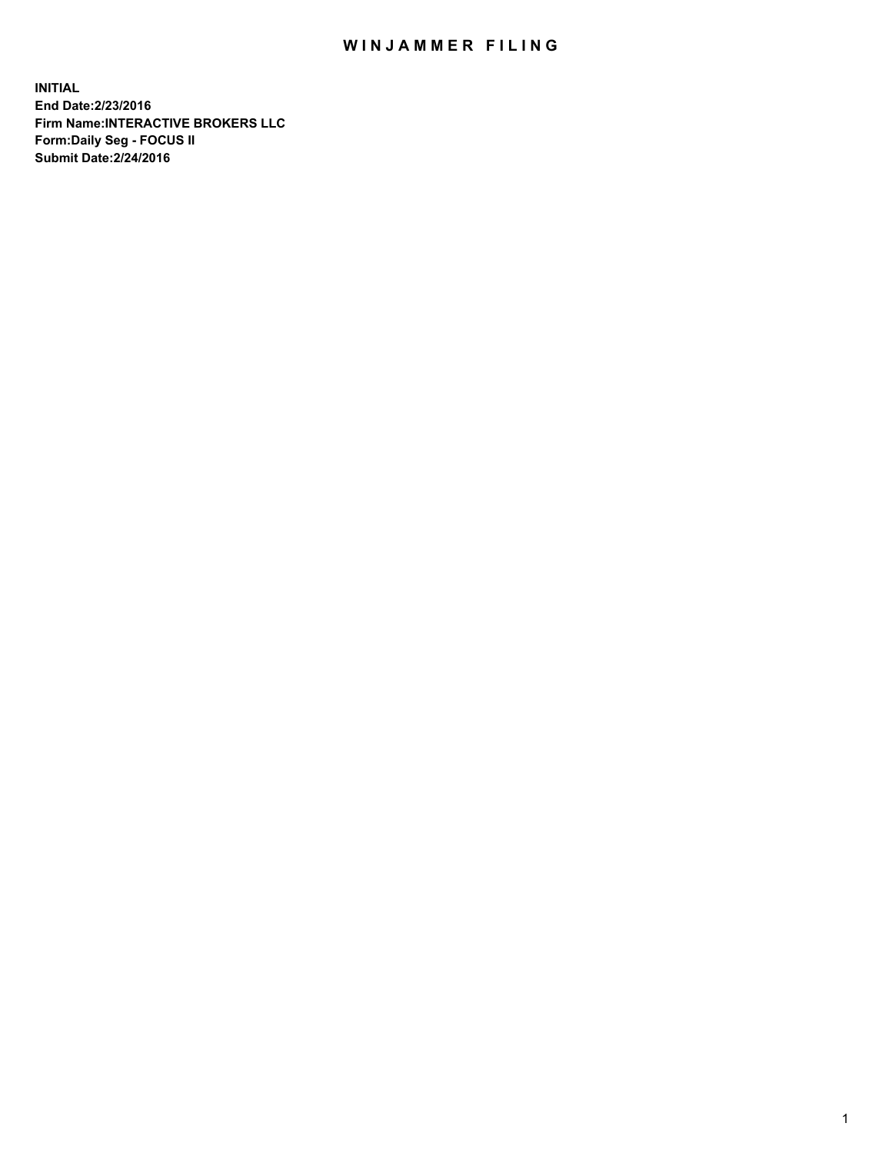## WIN JAMMER FILING

**INITIAL End Date:2/23/2016 Firm Name:INTERACTIVE BROKERS LLC Form:Daily Seg - FOCUS II Submit Date:2/24/2016**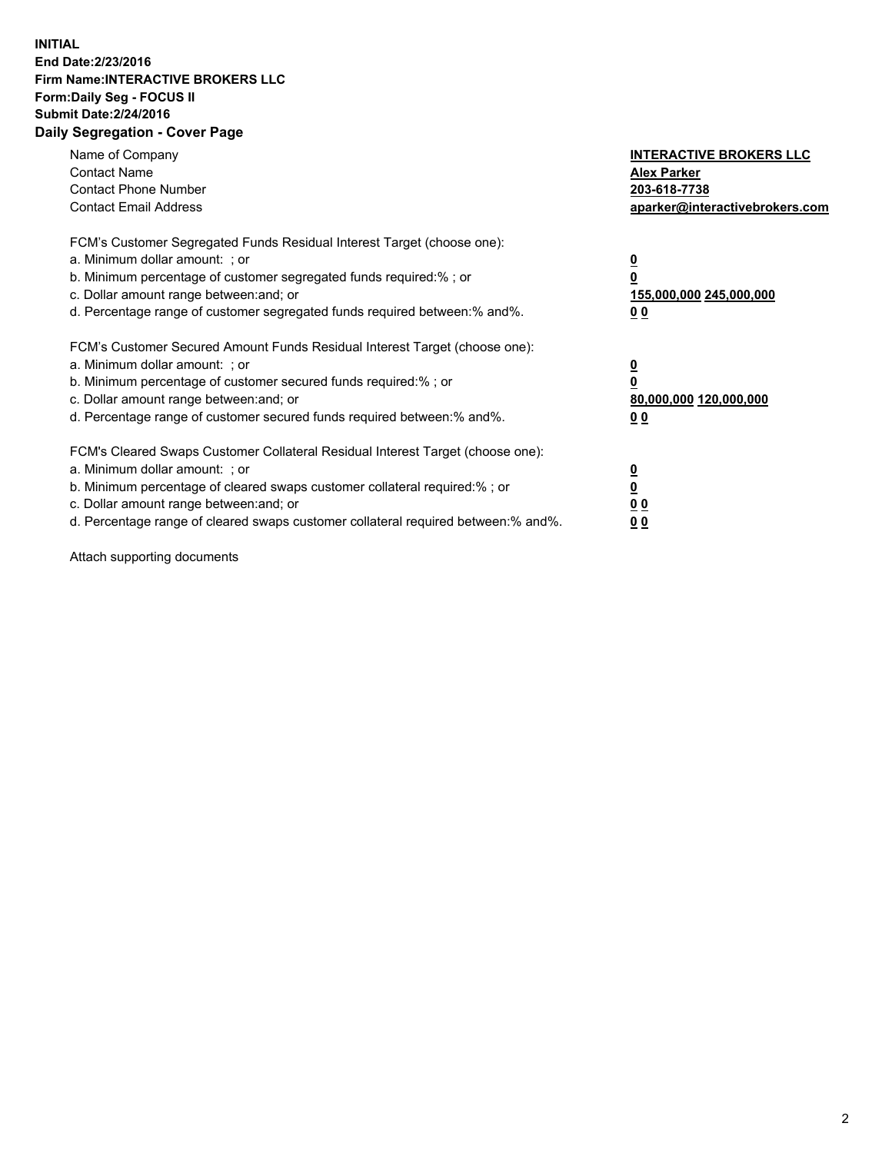## **INITIAL End Date:2/23/2016 Firm Name:INTERACTIVE BROKERS LLC Form:Daily Seg - FOCUS II Submit Date:2/24/2016 Daily Segregation - Cover Page**

| Name of Company<br><b>Contact Name</b><br><b>Contact Phone Number</b><br><b>Contact Email Address</b>                                                                                                                                                                                                                          | <b>INTERACTIVE BROKERS LLC</b><br><b>Alex Parker</b><br>203-618-7738<br>aparker@interactivebrokers.com |
|--------------------------------------------------------------------------------------------------------------------------------------------------------------------------------------------------------------------------------------------------------------------------------------------------------------------------------|--------------------------------------------------------------------------------------------------------|
| FCM's Customer Segregated Funds Residual Interest Target (choose one):<br>a. Minimum dollar amount: ; or<br>b. Minimum percentage of customer segregated funds required:% ; or<br>c. Dollar amount range between: and; or<br>d. Percentage range of customer segregated funds required between:% and%.                         | <u>0</u><br>155,000,000 245,000,000<br><u>00</u>                                                       |
| FCM's Customer Secured Amount Funds Residual Interest Target (choose one):<br>a. Minimum dollar amount: ; or<br>b. Minimum percentage of customer secured funds required:% ; or<br>c. Dollar amount range between: and; or<br>d. Percentage range of customer secured funds required between: % and %.                         | <u>0</u><br>80,000,000 120,000,000<br>0 <sub>0</sub>                                                   |
| FCM's Cleared Swaps Customer Collateral Residual Interest Target (choose one):<br>a. Minimum dollar amount: ; or<br>b. Minimum percentage of cleared swaps customer collateral required:% ; or<br>c. Dollar amount range between: and; or<br>d. Percentage range of cleared swaps customer collateral required between:% and%. | <u>0</u><br>0 <sub>0</sub><br>0 <sub>0</sub>                                                           |

Attach supporting documents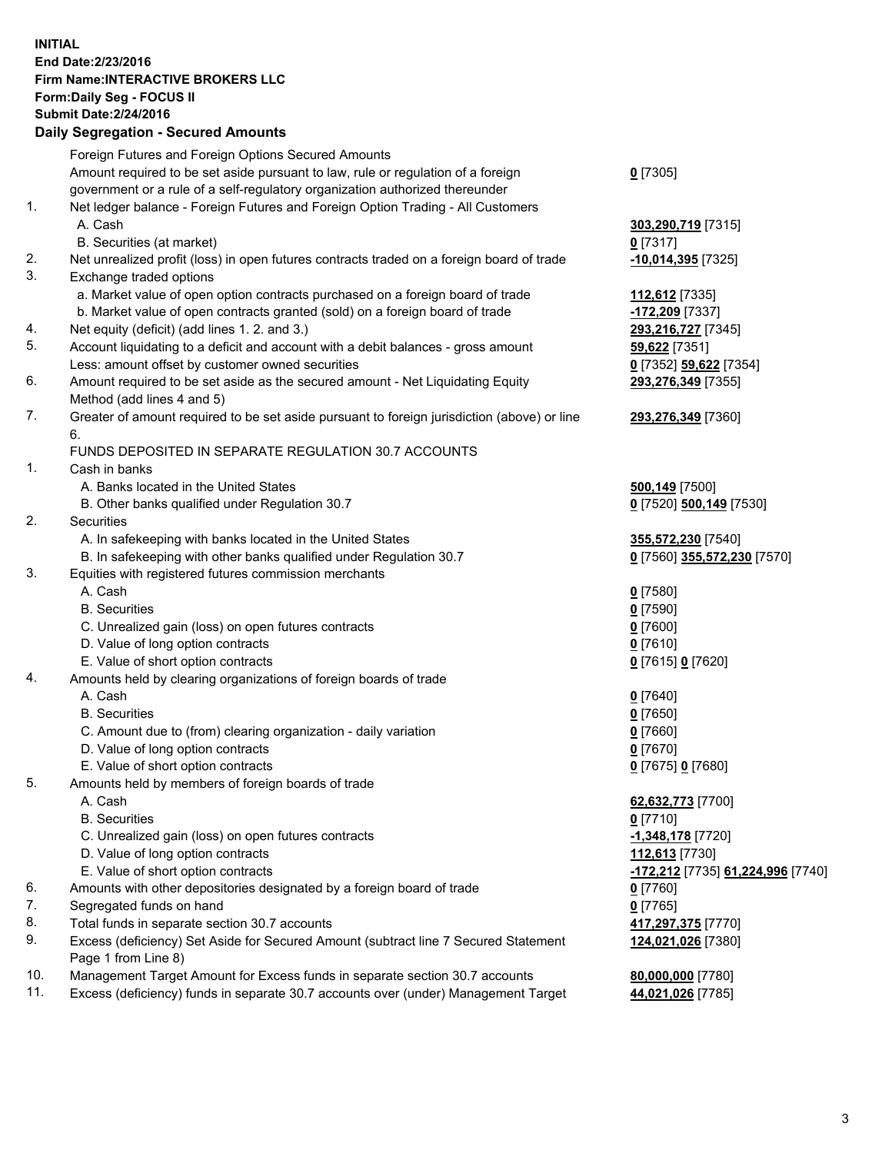## **INITIAL End Date:2/23/2016 Firm Name:INTERACTIVE BROKERS LLC Form:Daily Seg - FOCUS II Submit Date:2/24/2016 Daily Segregation - Secured Amounts**

|     | Dany Ocgregation - Oceanea Amounts                                                          |                                   |
|-----|---------------------------------------------------------------------------------------------|-----------------------------------|
|     | Foreign Futures and Foreign Options Secured Amounts                                         |                                   |
|     | Amount required to be set aside pursuant to law, rule or regulation of a foreign            | $0$ [7305]                        |
|     | government or a rule of a self-regulatory organization authorized thereunder                |                                   |
| 1.  | Net ledger balance - Foreign Futures and Foreign Option Trading - All Customers             |                                   |
|     | A. Cash                                                                                     | 303,290,719 [7315]                |
|     | B. Securities (at market)                                                                   | $0$ [7317]                        |
| 2.  |                                                                                             |                                   |
|     | Net unrealized profit (loss) in open futures contracts traded on a foreign board of trade   | -10,014,395 [7325]                |
| 3.  | Exchange traded options                                                                     |                                   |
|     | a. Market value of open option contracts purchased on a foreign board of trade              | 112,612 [7335]                    |
|     | b. Market value of open contracts granted (sold) on a foreign board of trade                | -172,209 [7337]                   |
| 4.  | Net equity (deficit) (add lines 1.2. and 3.)                                                | 293,216,727 [7345]                |
| 5.  | Account liquidating to a deficit and account with a debit balances - gross amount           | 59,622 [7351]                     |
|     | Less: amount offset by customer owned securities                                            | 0 [7352] 59,622 [7354]            |
| 6.  | Amount required to be set aside as the secured amount - Net Liquidating Equity              | 293,276,349 [7355]                |
|     | Method (add lines 4 and 5)                                                                  |                                   |
| 7.  | Greater of amount required to be set aside pursuant to foreign jurisdiction (above) or line | 293,276,349 [7360]                |
|     | 6.                                                                                          |                                   |
|     | FUNDS DEPOSITED IN SEPARATE REGULATION 30.7 ACCOUNTS                                        |                                   |
| 1.  | Cash in banks                                                                               |                                   |
|     | A. Banks located in the United States                                                       |                                   |
|     |                                                                                             | <b>500,149</b> [7500]             |
| 2.  | B. Other banks qualified under Regulation 30.7                                              | 0 [7520] 500,149 [7530]           |
|     | <b>Securities</b>                                                                           |                                   |
|     | A. In safekeeping with banks located in the United States                                   | 355,572,230 [7540]                |
|     | B. In safekeeping with other banks qualified under Regulation 30.7                          | 0 [7560] 355,572,230 [7570]       |
| 3.  | Equities with registered futures commission merchants                                       |                                   |
|     | A. Cash                                                                                     | $0$ [7580]                        |
|     | <b>B.</b> Securities                                                                        | $0$ [7590]                        |
|     | C. Unrealized gain (loss) on open futures contracts                                         | $0$ [7600]                        |
|     | D. Value of long option contracts                                                           | $0$ [7610]                        |
|     | E. Value of short option contracts                                                          | 0 [7615] 0 [7620]                 |
| 4.  | Amounts held by clearing organizations of foreign boards of trade                           |                                   |
|     | A. Cash                                                                                     | $0$ [7640]                        |
|     | <b>B.</b> Securities                                                                        | $0$ [7650]                        |
|     | C. Amount due to (from) clearing organization - daily variation                             | $0$ [7660]                        |
|     | D. Value of long option contracts                                                           | $0$ [7670]                        |
|     | E. Value of short option contracts                                                          | 0 [7675] 0 [7680]                 |
| 5.  | Amounts held by members of foreign boards of trade                                          |                                   |
|     | A. Cash                                                                                     | 62,632,773 [7700]                 |
|     | <b>B.</b> Securities                                                                        | $0$ [7710]                        |
|     | C. Unrealized gain (loss) on open futures contracts                                         | -1,348,178 [7720]                 |
|     | D. Value of long option contracts                                                           | 112,613 [7730]                    |
|     |                                                                                             |                                   |
|     | E. Value of short option contracts                                                          | -172,212 [7735] 61,224,996 [7740] |
| 6.  | Amounts with other depositories designated by a foreign board of trade                      | $0$ [7760]                        |
| 7.  | Segregated funds on hand                                                                    | $0$ [7765]                        |
| 8.  | Total funds in separate section 30.7 accounts                                               | 417,297,375 [7770]                |
| 9.  | Excess (deficiency) Set Aside for Secured Amount (subtract line 7 Secured Statement         | 124,021,026 [7380]                |
|     | Page 1 from Line 8)                                                                         |                                   |
| 10. | Management Target Amount for Excess funds in separate section 30.7 accounts                 | 80,000,000 [7780]                 |
| 11. | Excess (deficiency) funds in separate 30.7 accounts over (under) Management Target          | 44,021,026 [7785]                 |
|     |                                                                                             |                                   |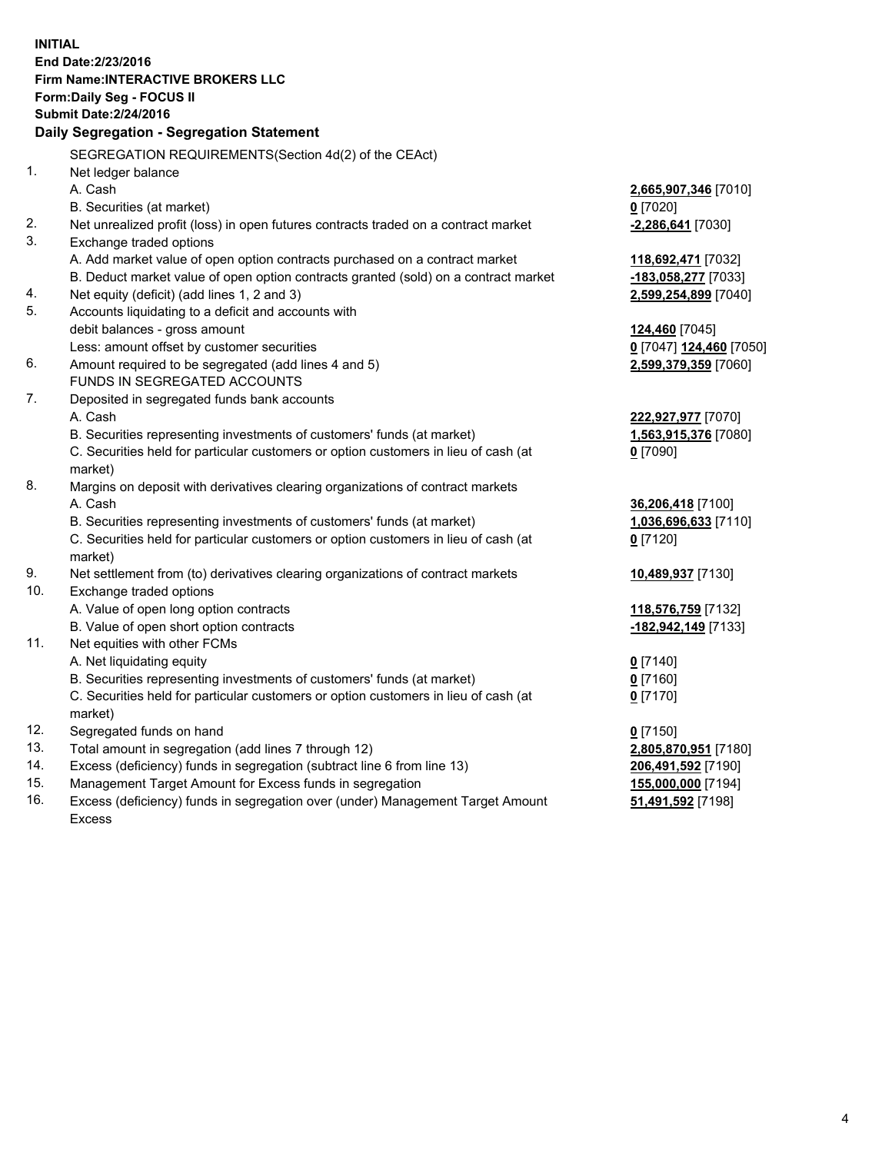**INITIAL End Date:2/23/2016 Firm Name:INTERACTIVE BROKERS LLC Form:Daily Seg - FOCUS II Submit Date:2/24/2016 Daily Segregation - Segregation Statement** SEGREGATION REQUIREMENTS(Section 4d(2) of the CEAct) 1. Net ledger balance A. Cash **2,665,907,346** [7010] B. Securities (at market) **0** [7020] 2. Net unrealized profit (loss) in open futures contracts traded on a contract market **-2,286,641** [7030] 3. Exchange traded options A. Add market value of open option contracts purchased on a contract market **118,692,471** [7032] B. Deduct market value of open option contracts granted (sold) on a contract market **-183,058,277** [7033] 4. Net equity (deficit) (add lines 1, 2 and 3) **2,599,254,899** [7040] 5. Accounts liquidating to a deficit and accounts with debit balances - gross amount **124,460** [7045] Less: amount offset by customer securities **0** [7047] **124,460** [7050] 6. Amount required to be segregated (add lines 4 and 5) **2,599,379,359** [7060] FUNDS IN SEGREGATED ACCOUNTS 7. Deposited in segregated funds bank accounts A. Cash **222,927,977** [7070] B. Securities representing investments of customers' funds (at market) **1,563,915,376** [7080] C. Securities held for particular customers or option customers in lieu of cash (at market) **0** [7090] 8. Margins on deposit with derivatives clearing organizations of contract markets A. Cash **36,206,418** [7100] B. Securities representing investments of customers' funds (at market) **1,036,696,633** [7110] C. Securities held for particular customers or option customers in lieu of cash (at market) **0** [7120] 9. Net settlement from (to) derivatives clearing organizations of contract markets **10,489,937** [7130] 10. Exchange traded options A. Value of open long option contracts **118,576,759** [7132] B. Value of open short option contracts **-182,942,149** [7133] 11. Net equities with other FCMs A. Net liquidating equity **0** [7140] B. Securities representing investments of customers' funds (at market) **0** [7160] C. Securities held for particular customers or option customers in lieu of cash (at market) **0** [7170] 12. Segregated funds on hand **0** [7150] 13. Total amount in segregation (add lines 7 through 12) **2,805,870,951** [7180] 14. Excess (deficiency) funds in segregation (subtract line 6 from line 13) **206,491,592** [7190] 15. Management Target Amount for Excess funds in segregation **155,000,000** [7194]

16. Excess (deficiency) funds in segregation over (under) Management Target Amount Excess

**51,491,592** [7198]